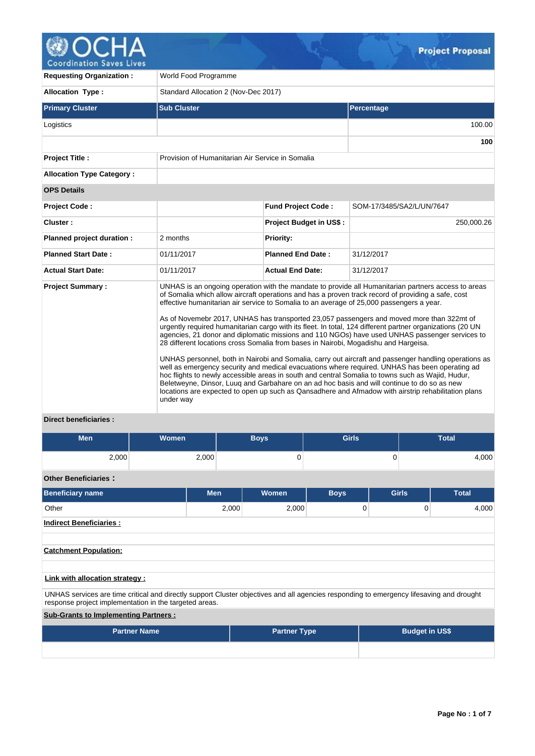

**Coordination Saves Lives** 

| <b>Requesting Organization:</b>  | World Food Programme                                                                                                                                                                                                                                                                                                                                                                                                                                                                                                                                                                                                                                                                                                                                                                                                                                                                                                                                                                                                                                                                                                                                                                                                                        |                                |                           |  |  |  |  |  |
|----------------------------------|---------------------------------------------------------------------------------------------------------------------------------------------------------------------------------------------------------------------------------------------------------------------------------------------------------------------------------------------------------------------------------------------------------------------------------------------------------------------------------------------------------------------------------------------------------------------------------------------------------------------------------------------------------------------------------------------------------------------------------------------------------------------------------------------------------------------------------------------------------------------------------------------------------------------------------------------------------------------------------------------------------------------------------------------------------------------------------------------------------------------------------------------------------------------------------------------------------------------------------------------|--------------------------------|---------------------------|--|--|--|--|--|
| Allocation Type:                 | Standard Allocation 2 (Nov-Dec 2017)                                                                                                                                                                                                                                                                                                                                                                                                                                                                                                                                                                                                                                                                                                                                                                                                                                                                                                                                                                                                                                                                                                                                                                                                        |                                |                           |  |  |  |  |  |
| <b>Primary Cluster</b>           | <b>Sub Cluster</b>                                                                                                                                                                                                                                                                                                                                                                                                                                                                                                                                                                                                                                                                                                                                                                                                                                                                                                                                                                                                                                                                                                                                                                                                                          |                                | <b>Percentage</b>         |  |  |  |  |  |
| Logistics                        |                                                                                                                                                                                                                                                                                                                                                                                                                                                                                                                                                                                                                                                                                                                                                                                                                                                                                                                                                                                                                                                                                                                                                                                                                                             |                                | 100.00                    |  |  |  |  |  |
|                                  |                                                                                                                                                                                                                                                                                                                                                                                                                                                                                                                                                                                                                                                                                                                                                                                                                                                                                                                                                                                                                                                                                                                                                                                                                                             |                                | 100                       |  |  |  |  |  |
| Project Title :                  | Provision of Humanitarian Air Service in Somalia                                                                                                                                                                                                                                                                                                                                                                                                                                                                                                                                                                                                                                                                                                                                                                                                                                                                                                                                                                                                                                                                                                                                                                                            |                                |                           |  |  |  |  |  |
| <b>Allocation Type Category:</b> |                                                                                                                                                                                                                                                                                                                                                                                                                                                                                                                                                                                                                                                                                                                                                                                                                                                                                                                                                                                                                                                                                                                                                                                                                                             |                                |                           |  |  |  |  |  |
| <b>OPS Details</b>               |                                                                                                                                                                                                                                                                                                                                                                                                                                                                                                                                                                                                                                                                                                                                                                                                                                                                                                                                                                                                                                                                                                                                                                                                                                             |                                |                           |  |  |  |  |  |
| Project Code:                    |                                                                                                                                                                                                                                                                                                                                                                                                                                                                                                                                                                                                                                                                                                                                                                                                                                                                                                                                                                                                                                                                                                                                                                                                                                             | <b>Fund Project Code:</b>      | SOM-17/3485/SA2/L/UN/7647 |  |  |  |  |  |
| Cluster:                         |                                                                                                                                                                                                                                                                                                                                                                                                                                                                                                                                                                                                                                                                                                                                                                                                                                                                                                                                                                                                                                                                                                                                                                                                                                             | <b>Project Budget in US\$:</b> | 250,000.26                |  |  |  |  |  |
| Planned project duration :       | 2 months                                                                                                                                                                                                                                                                                                                                                                                                                                                                                                                                                                                                                                                                                                                                                                                                                                                                                                                                                                                                                                                                                                                                                                                                                                    | <b>Priority:</b>               |                           |  |  |  |  |  |
| <b>Planned Start Date:</b>       | 01/11/2017                                                                                                                                                                                                                                                                                                                                                                                                                                                                                                                                                                                                                                                                                                                                                                                                                                                                                                                                                                                                                                                                                                                                                                                                                                  | <b>Planned End Date:</b>       | 31/12/2017                |  |  |  |  |  |
| <b>Actual Start Date:</b>        | 01/11/2017                                                                                                                                                                                                                                                                                                                                                                                                                                                                                                                                                                                                                                                                                                                                                                                                                                                                                                                                                                                                                                                                                                                                                                                                                                  | <b>Actual End Date:</b>        | 31/12/2017                |  |  |  |  |  |
| <b>Project Summary:</b>          | UNHAS is an ongoing operation with the mandate to provide all Humanitarian partners access to areas<br>of Somalia which allow aircraft operations and has a proven track record of providing a safe, cost<br>effective humanitarian air service to Somalia to an average of 25,000 passengers a year.<br>As of Novemebr 2017, UNHAS has transported 23,057 passengers and moved more than 322mt of<br>urgently required humanitarian cargo with its fleet. In total, 124 different partner organizations (20 UN<br>agencies, 21 donor and diplomatic missions and 110 NGOs) have used UNHAS passenger services to<br>28 different locations cross Somalia from bases in Nairobi, Mogadishu and Hargeisa.<br>UNHAS personnel, both in Nairobi and Somalia, carry out aircraft and passenger handling operations as<br>well as emergency security and medical evacuations where required. UNHAS has been operating ad<br>hoc flights to newly accessible areas in south and central Somalia to towns such as Wajid, Hudur,<br>Beletweyne, Dinsor, Luuq and Garbahare on an ad hoc basis and will continue to do so as new<br>locations are expected to open up such as Qansadhere and Afmadow with airstrip rehabilitation plans<br>under way |                                |                           |  |  |  |  |  |
| <b>Direct beneficiaries:</b>     |                                                                                                                                                                                                                                                                                                                                                                                                                                                                                                                                                                                                                                                                                                                                                                                                                                                                                                                                                                                                                                                                                                                                                                                                                                             |                                |                           |  |  |  |  |  |

# 2,000 2,000 0 0 0 4,000

# **Other Beneficiaries :**

| <b>Beneficiary name</b>                                                                                                                                                                            | <b>Men</b> | <b>Women</b> | <b>Boys</b> | <b>Girls</b> | <b>Total</b> |  |  |  |  |  |
|----------------------------------------------------------------------------------------------------------------------------------------------------------------------------------------------------|------------|--------------|-------------|--------------|--------------|--|--|--|--|--|
| Other                                                                                                                                                                                              | 2,000      | 2,000        | 0           | 0            | 4,000        |  |  |  |  |  |
| <b>Indirect Beneficiaries:</b>                                                                                                                                                                     |            |              |             |              |              |  |  |  |  |  |
|                                                                                                                                                                                                    |            |              |             |              |              |  |  |  |  |  |
| <b>Catchment Population:</b>                                                                                                                                                                       |            |              |             |              |              |  |  |  |  |  |
|                                                                                                                                                                                                    |            |              |             |              |              |  |  |  |  |  |
| Link with allocation strategy :                                                                                                                                                                    |            |              |             |              |              |  |  |  |  |  |
| UNHAS services are time critical and directly support Cluster objectives and all agencies responding to emergency lifesaving and drought<br>response project implementation in the targeted areas. |            |              |             |              |              |  |  |  |  |  |

**Men Women Boys Girls Total**

**Sub-Grants to Implementing Partners :**

| <b>Partner Name</b> | <b>Partner Type</b> | <b>Budget in US\$</b> |
|---------------------|---------------------|-----------------------|
|                     |                     |                       |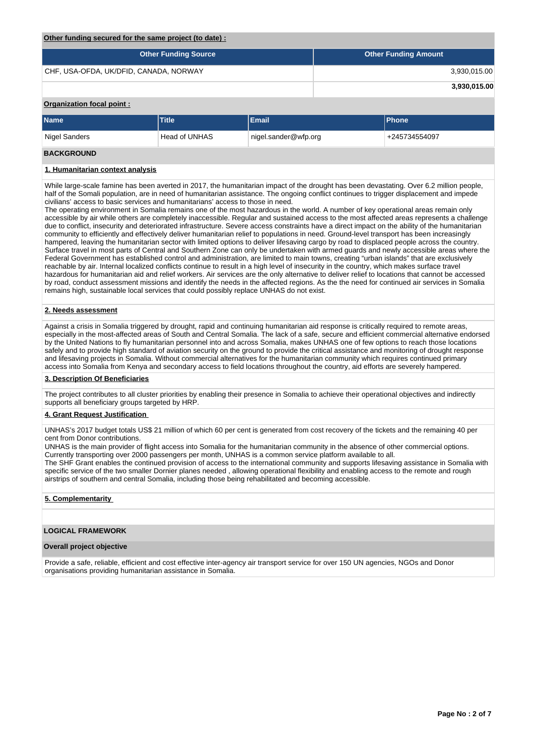#### **Other funding secured for the same project (to date) :**

| <b>Other Funding Source</b>            | <b>Other Funding Amount</b> |
|----------------------------------------|-----------------------------|
| CHF, USA-OFDA, UK/DFID, CANADA, NORWAY | 3,930,015.00                |
|                                        | 3,930,015.00                |

# **Organization focal point :**

| <b>Name</b>       | Title         | Email                  | <b>Phone</b>  |
|-------------------|---------------|------------------------|---------------|
| Nigel Sanders     | Head of UNHAS | nigel.sander@wfp.org \ | +245734554097 |
| <b>BAAIABAIRD</b> |               |                        |               |

# **BACKGROUND**

#### **1. Humanitarian context analysis**

While large-scale famine has been averted in 2017, the humanitarian impact of the drought has been devastating. Over 6.2 million people, half of the Somali population, are in need of humanitarian assistance. The ongoing conflict continues to trigger displacement and impede civilians' access to basic services and humanitarians' access to those in need.

The operating environment in Somalia remains one of the most hazardous in the world. A number of key operational areas remain only accessible by air while others are completely inaccessible. Regular and sustained access to the most affected areas represents a challenge due to conflict, insecurity and deteriorated infrastructure. Severe access constraints have a direct impact on the ability of the humanitarian community to efficiently and effectively deliver humanitarian relief to populations in need. Ground-level transport has been increasingly hampered, leaving the humanitarian sector with limited options to deliver lifesaving cargo by road to displaced people across the country. Surface travel in most parts of Central and Southern Zone can only be undertaken with armed guards and newly accessible areas where the Federal Government has established control and administration, are limited to main towns, creating "urban islands" that are exclusively reachable by air. Internal localized conflicts continue to result in a high level of insecurity in the country, which makes surface travel hazardous for humanitarian aid and relief workers. Air services are the only alternative to deliver relief to locations that cannot be accessed by road, conduct assessment missions and identify the needs in the affected regions. As the the need for continued air services in Somalia remains high, sustainable local services that could possibly replace UNHAS do not exist.

## **2. Needs assessment**

Against a crisis in Somalia triggered by drought, rapid and continuing humanitarian aid response is critically required to remote areas, especially in the most-affected areas of South and Central Somalia. The lack of a safe, secure and efficient commercial alternative endorsed by the United Nations to fly humanitarian personnel into and across Somalia, makes UNHAS one of few options to reach those locations safely and to provide high standard of aviation security on the ground to provide the critical assistance and monitoring of drought response and lifesaving projects in Somalia. Without commercial alternatives for the humanitarian community which requires continued primary access into Somalia from Kenya and secondary access to field locations throughout the country, aid efforts are severely hampered.

#### **3. Description Of Beneficiaries**

The project contributes to all cluster priorities by enabling their presence in Somalia to achieve their operational objectives and indirectly supports all beneficiary groups targeted by HRP.

# **4. Grant Request Justification**

UNHAS's 2017 budget totals US\$ 21 million of which 60 per cent is generated from cost recovery of the tickets and the remaining 40 per cent from Donor contributions.

UNHAS is the main provider of flight access into Somalia for the humanitarian community in the absence of other commercial options. Currently transporting over 2000 passengers per month, UNHAS is a common service platform available to all. The SHF Grant enables the continued provision of access to the international community and supports lifesaving assistance in Somalia with specific service of the two smaller Dornier planes needed , allowing operational flexibility and enabling access to the remote and rough airstrips of southern and central Somalia, including those being rehabilitated and becoming accessible.

#### **5. Complementarity**

#### **LOGICAL FRAMEWORK**

#### **Overall project objective**

Provide a safe, reliable, efficient and cost effective inter-agency air transport service for over 150 UN agencies, NGOs and Donor organisations providing humanitarian assistance in Somalia.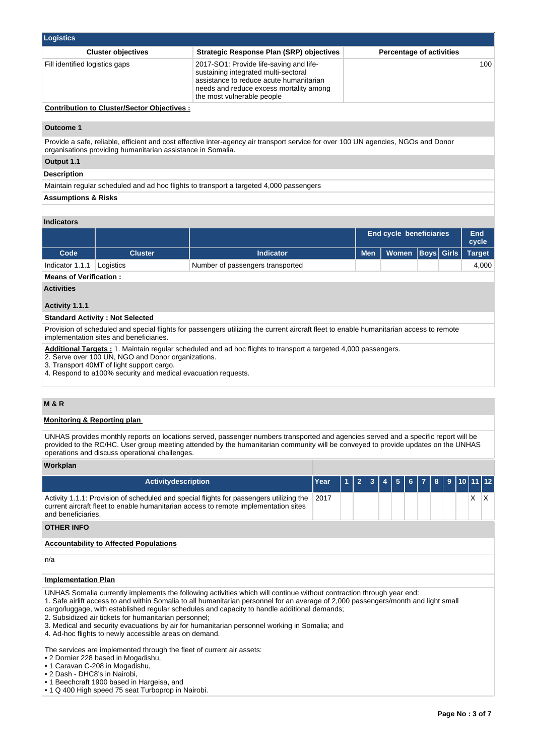| <b>Logistics</b>                                  |                                                                                                                                                                                                     |                                 |  |  |  |  |  |  |  |
|---------------------------------------------------|-----------------------------------------------------------------------------------------------------------------------------------------------------------------------------------------------------|---------------------------------|--|--|--|--|--|--|--|
| <b>Cluster objectives</b>                         | <b>Strategic Response Plan (SRP) objectives</b>                                                                                                                                                     | <b>Percentage of activities</b> |  |  |  |  |  |  |  |
| Fill identified logistics gaps                    | 2017-SO1: Provide life-saving and life-<br>sustaining integrated multi-sectoral<br>assistance to reduce acute humanitarian<br>needs and reduce excess mortality among<br>the most vulnerable people | 100                             |  |  |  |  |  |  |  |
| <b>Contribution to Cluster/Sector Objectives:</b> |                                                                                                                                                                                                     |                                 |  |  |  |  |  |  |  |

#### **Outcome 1**

Provide a safe, reliable, efficient and cost effective inter-agency air transport service for over 100 UN agencies, NGOs and Donor organisations providing humanitarian assistance in Somalia.

# **Output 1.1**

**Description**

Maintain regular scheduled and ad hoc flights to transport a targeted 4,000 passengers

#### **Assumptions & Risks**

# **Indicators**

|                   |           |                                  | <b>End cycle beneficiaries</b> |                                     | End<br>cycle |       |
|-------------------|-----------|----------------------------------|--------------------------------|-------------------------------------|--------------|-------|
| Code <sup>1</sup> | Cluster   | Indicator                        |                                | Men   Women   Boys   Girls   Target |              |       |
| Indicator 1.1.1   | Logistics | Number of passengers transported |                                |                                     |              | 4.000 |

#### **Means of Verification :**

**Activities**

#### **Activity 1.1.1**

# **Standard Activity : Not Selected**

Provision of scheduled and special flights for passengers utilizing the current aircraft fleet to enable humanitarian access to remote implementation sites and beneficiaries.

**Additional Targets :** 1. Maintain regular scheduled and ad hoc flights to transport a targeted 4,000 passengers.

2. Serve over 100 UN, NGO and Donor organizations.

3. Transport 40MT of light support cargo.

4. Respond to a100% security and medical evacuation requests.

# **M & R**

#### **Monitoring & Reporting plan**

UNHAS provides monthly reports on locations served, passenger numbers transported and agencies served and a specific report will be provided to the RC/HC. User group meeting attended by the humanitarian community will be conveyed to provide updates on the UNHAS operations and discuss operational challenges.

#### **Workplan**

| <b>Activitydescription</b>                                                                                                                                                                                                                                                                                                                                                                                                                                                                                                                                                       | Year |  | $\overline{2}$ | 3 |  | 5 | 6. | 8 | 9 | $10$ 11 12 |     |
|----------------------------------------------------------------------------------------------------------------------------------------------------------------------------------------------------------------------------------------------------------------------------------------------------------------------------------------------------------------------------------------------------------------------------------------------------------------------------------------------------------------------------------------------------------------------------------|------|--|----------------|---|--|---|----|---|---|------------|-----|
| Activity 1.1.1: Provision of scheduled and special flights for passengers utilizing the<br>current aircraft fleet to enable humanitarian access to remote implementation sites<br>and beneficiaries.                                                                                                                                                                                                                                                                                                                                                                             | 2017 |  |                |   |  |   |    |   |   | X          | IX. |
| <b>OTHER INFO</b>                                                                                                                                                                                                                                                                                                                                                                                                                                                                                                                                                                |      |  |                |   |  |   |    |   |   |            |     |
| <b>Accountability to Affected Populations</b>                                                                                                                                                                                                                                                                                                                                                                                                                                                                                                                                    |      |  |                |   |  |   |    |   |   |            |     |
| n/a                                                                                                                                                                                                                                                                                                                                                                                                                                                                                                                                                                              |      |  |                |   |  |   |    |   |   |            |     |
| <b>Implementation Plan</b>                                                                                                                                                                                                                                                                                                                                                                                                                                                                                                                                                       |      |  |                |   |  |   |    |   |   |            |     |
| UNHAS Somalia currently implements the following activities which will continue without contraction through year end:<br>1. Safe airlift access to and within Somalia to all humanitarian personnel for an average of 2,000 passengers/month and light small<br>cargo/luggage, with established regular schedules and capacity to handle additional demands;<br>2. Subsidized air tickets for humanitarian personnel;<br>3. Medical and security evacuations by air for humanitarian personnel working in Somalia; and<br>4. Ad-hoc flights to newly accessible areas on demand. |      |  |                |   |  |   |    |   |   |            |     |
| The services are implemented through the fleet of current air assets:<br>• 2 Dornier 228 based in Mogadishu,                                                                                                                                                                                                                                                                                                                                                                                                                                                                     |      |  |                |   |  |   |    |   |   |            |     |

- 
- 1 Caravan C-208 in Mogadishu, • 2 Dash - DHC8's in Nairobi,
- 1 Beechcraft 1900 based in Hargeisa, and
- 1 Q 400 High speed 75 seat Turboprop in Nairobi.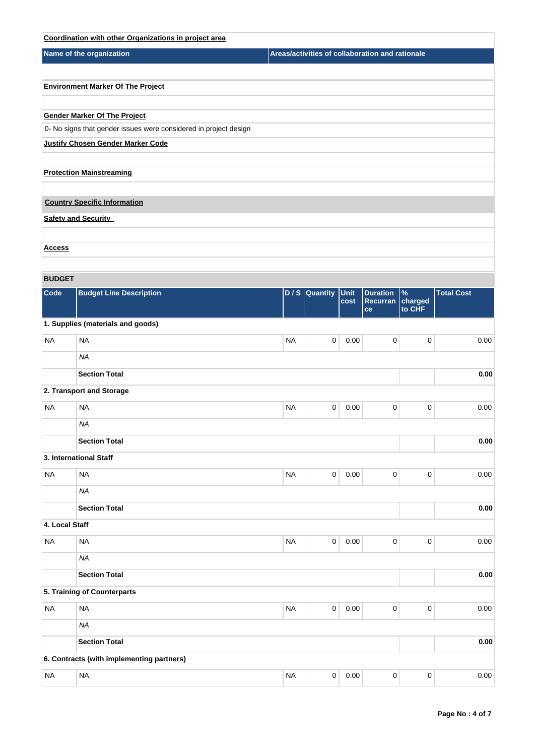|                | Coordination with other Organizations in project area            |           |                  |          |                                                 |                   |                   |          |
|----------------|------------------------------------------------------------------|-----------|------------------|----------|-------------------------------------------------|-------------------|-------------------|----------|
|                | Name of the organization                                         |           |                  |          | Areas/activities of collaboration and rationale |                   |                   |          |
|                |                                                                  |           |                  |          |                                                 |                   |                   |          |
|                | <b>Environment Marker Of The Project</b>                         |           |                  |          |                                                 |                   |                   |          |
|                |                                                                  |           |                  |          |                                                 |                   |                   |          |
|                | <b>Gender Marker Of The Project</b>                              |           |                  |          |                                                 |                   |                   |          |
|                | 0- No signs that gender issues were considered in project design |           |                  |          |                                                 |                   |                   |          |
|                | <b>Justify Chosen Gender Marker Code</b>                         |           |                  |          |                                                 |                   |                   |          |
|                |                                                                  |           |                  |          |                                                 |                   |                   |          |
|                | <b>Protection Mainstreaming</b>                                  |           |                  |          |                                                 |                   |                   |          |
|                | <b>Country Specific Information</b>                              |           |                  |          |                                                 |                   |                   |          |
|                |                                                                  |           |                  |          |                                                 |                   |                   |          |
|                | <b>Safety and Security</b>                                       |           |                  |          |                                                 |                   |                   |          |
| <u>Access</u>  |                                                                  |           |                  |          |                                                 |                   |                   |          |
|                |                                                                  |           |                  |          |                                                 |                   |                   |          |
| <b>BUDGET</b>  |                                                                  |           |                  |          |                                                 |                   |                   |          |
| Code           | <b>Budget Line Description</b>                                   |           | $D / S$ Quantity | Unit     | <b>Duration</b>                                 | $\%$              | <b>Total Cost</b> |          |
|                |                                                                  |           |                  | cost     | Recurran<br>ce                                  | charged<br>to CHF |                   |          |
|                | 1. Supplies (materials and goods)                                |           |                  |          |                                                 |                   |                   |          |
| <b>NA</b>      | <b>NA</b>                                                        | <b>NA</b> | 0                | 0.00     | $\pmb{0}$                                       | 0                 |                   | 0.00     |
|                | <b>NA</b>                                                        |           |                  |          |                                                 |                   |                   |          |
|                | <b>Section Total</b>                                             |           |                  |          |                                                 |                   |                   | 0.00     |
|                | 2. Transport and Storage                                         |           |                  |          |                                                 |                   |                   |          |
|                |                                                                  |           |                  |          |                                                 |                   |                   |          |
| <b>NA</b>      | <b>NA</b>                                                        | <b>NA</b> | 0                | 0.00     | $\pmb{0}$                                       | 0                 |                   | 0.00     |
|                | ΝA                                                               |           |                  |          |                                                 |                   |                   |          |
|                | <b>Section Total</b>                                             |           |                  |          |                                                 |                   |                   | $0.00\,$ |
|                | 3. International Staff                                           |           |                  |          |                                                 |                   |                   |          |
| <b>NA</b>      | <b>NA</b>                                                        | <b>NA</b> | $\mathsf 0$      | 0.00     | $\pmb{0}$                                       | $\pmb{0}$         |                   | 0.00     |
|                | <b>NA</b>                                                        |           |                  |          |                                                 |                   |                   |          |
|                | <b>Section Total</b>                                             |           |                  |          |                                                 |                   |                   | 0.00     |
| 4. Local Staff |                                                                  |           |                  |          |                                                 |                   |                   |          |
| <b>NA</b>      | <b>NA</b>                                                        | <b>NA</b> | $\mathsf 0$      | $0.00\,$ | $\pmb{0}$                                       | 0                 |                   | 0.00     |
|                | <b>NA</b>                                                        |           |                  |          |                                                 |                   |                   |          |
|                | <b>Section Total</b>                                             |           |                  |          |                                                 |                   |                   | 0.00     |
|                | 5. Training of Counterparts                                      |           |                  |          |                                                 |                   |                   |          |
| <b>NA</b>      | <b>NA</b>                                                        | <b>NA</b> | $\mathsf 0$      | 0.00     | $\pmb{0}$                                       | 0                 |                   | 0.00     |
|                | <b>NA</b>                                                        |           |                  |          |                                                 |                   |                   |          |
|                |                                                                  |           |                  |          |                                                 |                   |                   |          |
|                | <b>Section Total</b>                                             |           |                  |          |                                                 |                   |                   | 0.00     |
|                | 6. Contracts (with implementing partners)                        |           |                  |          |                                                 |                   |                   |          |
| <b>NA</b>      | <b>NA</b>                                                        | <b>NA</b> | $\pmb{0}$        | 0.00     | $\pmb{0}$                                       | $\pmb{0}$         |                   | 0.00     |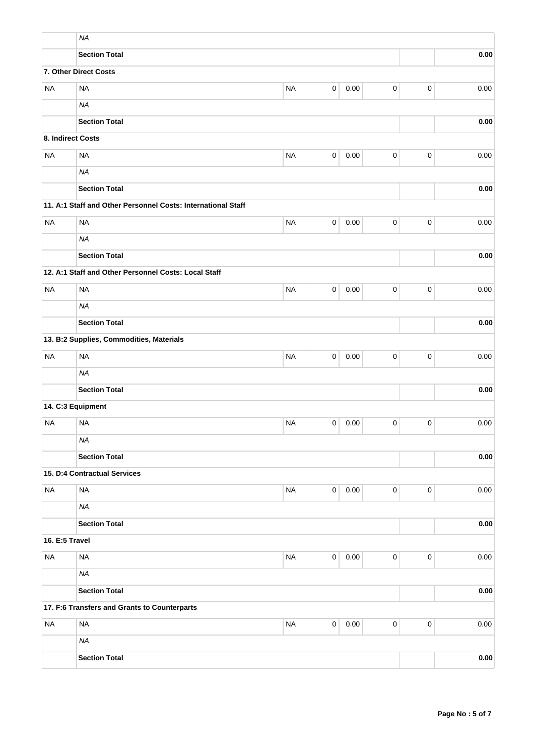|                   | <b>NA</b>                                                    |           |              |          |             |                     |      |
|-------------------|--------------------------------------------------------------|-----------|--------------|----------|-------------|---------------------|------|
|                   | <b>Section Total</b>                                         |           |              |          |             |                     | 0.00 |
|                   | 7. Other Direct Costs                                        |           |              |          |             |                     |      |
| <b>NA</b>         | <b>NA</b>                                                    | <b>NA</b> | $\mathsf 0$  | 0.00     | 0           | $\mathbf 0$         | 0.00 |
|                   | <b>NA</b>                                                    |           |              |          |             |                     |      |
|                   | <b>Section Total</b>                                         |           |              |          |             |                     | 0.00 |
| 8. Indirect Costs |                                                              |           |              |          |             |                     |      |
| <b>NA</b>         | <b>NA</b>                                                    | <b>NA</b> | $\mathsf 0$  | 0.00     | $\pmb{0}$   | $\mathsf 0$         | 0.00 |
|                   | <b>NA</b>                                                    |           |              |          |             |                     |      |
|                   | <b>Section Total</b>                                         |           |              |          |             |                     | 0.00 |
|                   | 11. A:1 Staff and Other Personnel Costs: International Staff |           |              |          |             |                     |      |
| <b>NA</b>         | <b>NA</b>                                                    | <b>NA</b> | 0            | 0.00     | 0           | $\pmb{0}$           | 0.00 |
|                   | <b>NA</b>                                                    |           |              |          |             |                     |      |
|                   | <b>Section Total</b>                                         |           |              |          |             |                     | 0.00 |
|                   | 12. A:1 Staff and Other Personnel Costs: Local Staff         |           |              |          |             |                     |      |
| <b>NA</b>         | <b>NA</b>                                                    | <b>NA</b> | 0            | 0.00     | $\pmb{0}$   | 0                   | 0.00 |
|                   | <b>NA</b>                                                    |           |              |          |             |                     |      |
|                   | <b>Section Total</b>                                         |           |              |          |             |                     | 0.00 |
|                   | 13. B:2 Supplies, Commodities, Materials                     |           |              |          |             |                     |      |
| <b>NA</b>         | <b>NA</b>                                                    | <b>NA</b> | 0            | 0.00     | 0           | $\pmb{0}$           | 0.00 |
|                   | <b>NA</b>                                                    |           |              |          |             |                     |      |
|                   | <b>Section Total</b>                                         |           |              |          |             |                     | 0.00 |
|                   | 14. C:3 Equipment                                            |           |              |          |             |                     |      |
| <b>NA</b>         | <b>NA</b>                                                    | <b>NA</b> | 0            | 0.00     | 0           | $\mathbf 0$         | 0.00 |
|                   | <b>NA</b>                                                    |           |              |          |             |                     |      |
|                   | <b>Section Total</b>                                         |           |              |          |             |                     | 0.00 |
|                   | 15. D:4 Contractual Services                                 |           |              |          |             |                     |      |
| <b>NA</b>         | <b>NA</b>                                                    | <b>NA</b> | $\mathbf{0}$ | 0.00     | 0           | $\mathsf{O}\xspace$ | 0.00 |
|                   | <b>NA</b>                                                    |           |              |          |             |                     |      |
|                   | <b>Section Total</b>                                         |           |              |          |             |                     | 0.00 |
| 16. E:5 Travel    |                                                              |           |              |          |             |                     |      |
| <b>NA</b>         | <b>NA</b>                                                    | <b>NA</b> | $\mathbf{0}$ | 0.00     | $\mathbf 0$ | $\mathbf 0$         | 0.00 |
|                   | <b>NA</b>                                                    |           |              |          |             |                     |      |
|                   | <b>Section Total</b>                                         |           |              |          |             |                     | 0.00 |
|                   | 17. F:6 Transfers and Grants to Counterparts                 |           |              |          |             |                     |      |
| <b>NA</b>         | <b>NA</b>                                                    | $\sf NA$  | $\mathbf 0$  | $0.00\,$ | $\pmb{0}$   | $\mathbf 0$         | 0.00 |
|                   | <b>NA</b>                                                    |           |              |          |             |                     |      |
|                   | <b>Section Total</b>                                         |           |              |          |             |                     | 0.00 |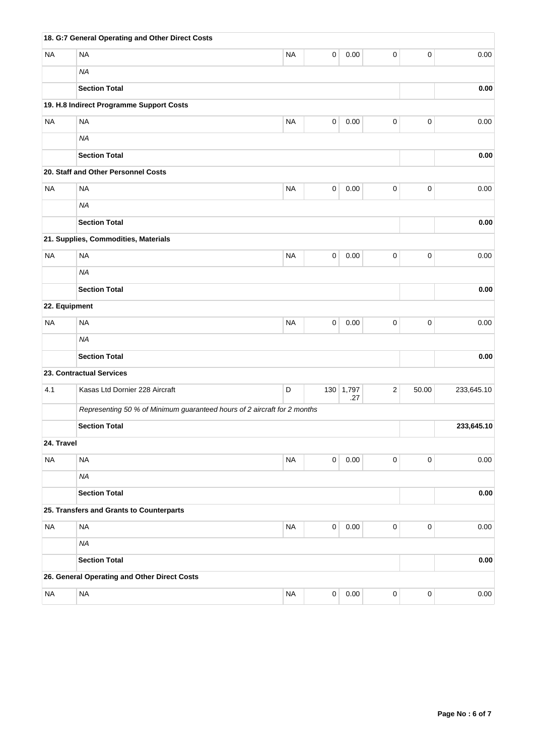|               | 18. G:7 General Operating and Other Direct Costs                         |           |             |                  |            |             |            |
|---------------|--------------------------------------------------------------------------|-----------|-------------|------------------|------------|-------------|------------|
| <b>NA</b>     | <b>NA</b>                                                                | <b>NA</b> | 0           | 0.00             | 0          | $\mathbf 0$ | 0.00       |
|               | <b>NA</b>                                                                |           |             |                  |            |             |            |
|               | <b>Section Total</b>                                                     |           |             |                  |            |             | 0.00       |
|               | 19. H.8 Indirect Programme Support Costs                                 |           |             |                  |            |             |            |
| <b>NA</b>     | <b>NA</b>                                                                | <b>NA</b> | $\mathbf 0$ | 0.00             | $\pmb{0}$  | $\pmb{0}$   | 0.00       |
|               | <b>NA</b>                                                                |           |             |                  |            |             |            |
|               | <b>Section Total</b>                                                     |           |             |                  |            |             | 0.00       |
|               | 20. Staff and Other Personnel Costs                                      |           |             |                  |            |             |            |
| <b>NA</b>     | <b>NA</b>                                                                | <b>NA</b> | $\pmb{0}$   | 0.00             | $\pmb{0}$  | $\pmb{0}$   | 0.00       |
|               | <b>NA</b>                                                                |           |             |                  |            |             |            |
|               | <b>Section Total</b>                                                     |           |             |                  |            |             | $\bf 0.00$ |
|               | 21. Supplies, Commodities, Materials                                     |           |             |                  |            |             |            |
| <b>NA</b>     | <b>NA</b>                                                                | <b>NA</b> | 0           | 0.00             | $\pmb{0}$  | $\mathbf 0$ | 0.00       |
|               | <b>NA</b>                                                                |           |             |                  |            |             |            |
|               | <b>Section Total</b>                                                     |           |             |                  |            |             | 0.00       |
| 22. Equipment |                                                                          |           |             |                  |            |             |            |
| <b>NA</b>     | <b>NA</b>                                                                | <b>NA</b> | 0           | 0.00             | $\pmb{0}$  | $\mathbf 0$ | 0.00       |
|               | <b>NA</b>                                                                |           |             |                  |            |             |            |
|               | <b>Section Total</b>                                                     |           |             |                  |            |             | 0.00       |
|               | 23. Contractual Services                                                 |           |             |                  |            |             |            |
| 4.1           | Kasas Ltd Dornier 228 Aircraft                                           | D         |             | 130 1,797<br>.27 | $\sqrt{2}$ | 50.00       | 233,645.10 |
|               | Representing 50 % of Minimum guaranteed hours of 2 aircraft for 2 months |           |             |                  |            |             |            |
|               | <b>Section Total</b>                                                     |           |             |                  |            |             | 233,645.10 |
| 24. Travel    |                                                                          |           |             |                  |            |             |            |
| <b>NA</b>     | <b>NA</b>                                                                | <b>NA</b> | $\mathsf 0$ | 0.00             | $\pmb{0}$  | $\mathbf 0$ | 0.00       |
|               | <b>NA</b>                                                                |           |             |                  |            |             |            |
|               | <b>Section Total</b>                                                     |           |             |                  |            |             | 0.00       |
|               | 25. Transfers and Grants to Counterparts                                 |           |             |                  |            |             |            |
| <b>NA</b>     | <b>NA</b>                                                                | $\sf NA$  | $\mathbf 0$ | $0.00\,$         | $\pmb{0}$  | $\mathbf 0$ | 0.00       |
|               | <b>NA</b>                                                                |           |             |                  |            |             |            |
|               | <b>Section Total</b>                                                     |           |             |                  |            |             | 0.00       |
|               | 26. General Operating and Other Direct Costs                             |           |             |                  |            |             |            |
| <b>NA</b>     | $\sf NA$                                                                 | $\sf NA$  | 0           | $0.00\,$         | 0          | $\pmb{0}$   | 0.00       |